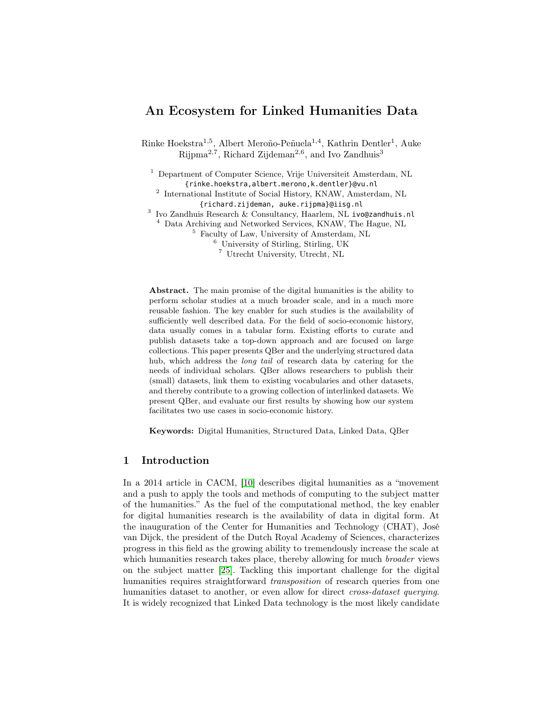# An Ecosystem for Linked Humanities Data

Rinke Hoekstra<sup>1,5</sup>, Albert Meroño-Peñuela<sup>1,4</sup>, Kathrin Dentler<sup>1</sup>, Auke Rijpma<sup>2,7</sup>, Richard Zijdeman<sup>2,6</sup>, and Ivo Zandhuis<sup>3</sup>

<sup>1</sup> Department of Computer Science, Vrije Universiteit Amsterdam, NL {rinke.hoekstra,albert.merono,k.dentler}@vu.nl

2 International Institute of Social History, KNAW, Amsterdam, NL {richard.zijdeman, auke.rijpma}@iisg.nl

 $3$  Ivo Zandhuis Research & Consultancy, Haarlem, NL ivo@zandhuis.nl

<sup>4</sup> Data Archiving and Networked Services, KNAW, The Hague, NL

<sup>5</sup> Faculty of Law, University of Amsterdam, NL

<sup>6</sup> University of Stirling, Stirling, UK

<sup>7</sup> Utrecht University, Utrecht, NL

Abstract. The main promise of the digital humanities is the ability to perform scholar studies at a much broader scale, and in a much more reusable fashion. The key enabler for such studies is the availability of sufficiently well described data. For the field of socio-economic history, data usually comes in a tabular form. Existing efforts to curate and publish datasets take a top-down approach and are focused on large collections. This paper presents QBer and the underlying structured data hub, which address the *long tail* of research data by catering for the needs of individual scholars. QBer allows researchers to publish their (small) datasets, link them to existing vocabularies and other datasets, and thereby contribute to a growing collection of interlinked datasets. We present QBer, and evaluate our first results by showing how our system facilitates two use cases in socio-economic history.

Keywords: Digital Humanities, Structured Data, Linked Data, QBer

## 1 Introduction

In a 2014 article in CACM, [\[10\]](#page-10-0) describes digital humanities as a "movement and a push to apply the tools and methods of computing to the subject matter of the humanities." As the fuel of the computational method, the key enabler for digital humanities research is the availability of data in digital form. At the inauguration of the Center for Humanities and Technology (CHAT), José van Dijck, the president of the Dutch Royal Academy of Sciences, characterizes progress in this field as the growing ability to tremendously increase the scale at which humanities research takes place, thereby allowing for much *broader* views on the subject matter [\[25\]](#page-11-0). Tackling this important challenge for the digital humanities requires straightforward *transposition* of research queries from one humanities dataset to another, or even allow for direct *cross-dataset querying*. It is widely recognized that Linked Data technology is the most likely candidate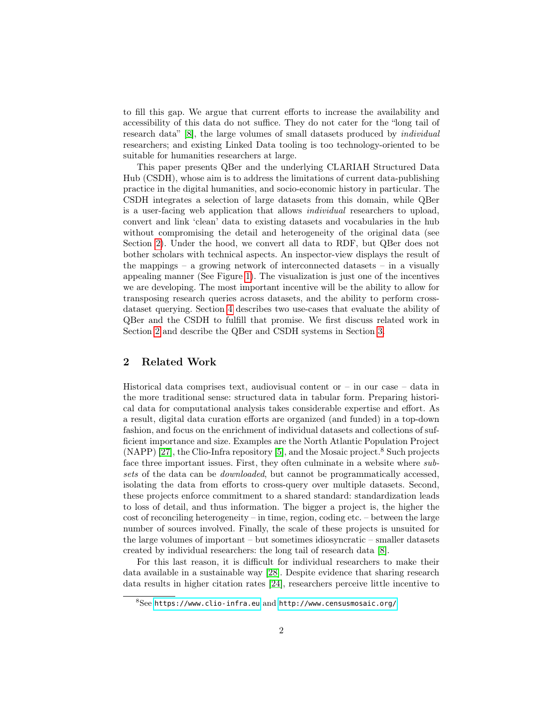to fill this gap. We argue that current efforts to increase the availability and accessibility of this data do not suffice. They do not cater for the "long tail of research data" [\[8\]](#page-10-1), the large volumes of small datasets produced by individual researchers; and existing Linked Data tooling is too technology-oriented to be suitable for humanities researchers at large.

This paper presents QBer and the underlying CLARIAH Structured Data Hub (CSDH), whose aim is to address the limitations of current data-publishing practice in the digital humanities, and socio-economic history in particular. The CSDH integrates a selection of large datasets from this domain, while QBer is a user-facing web application that allows individual researchers to upload, convert and link 'clean' data to existing datasets and vocabularies in the hub without compromising the detail and heterogeneity of the original data (see Section [2\)](#page-1-0). Under the hood, we convert all data to RDF, but QBer does not bother scholars with technical aspects. An inspector-view displays the result of the mappings – a growing network of interconnected datasets – in a visually appealing manner (See Figure [1\)](#page-3-0). The visualization is just one of the incentives we are developing. The most important incentive will be the ability to allow for transposing research queries across datasets, and the ability to perform crossdataset querying. Section [4](#page-5-0) describes two use-cases that evaluate the ability of QBer and the CSDH to fulfill that promise. We first discuss related work in Section [2](#page-1-0) and describe the QBer and CSDH systems in Section [3.](#page-3-1)

# <span id="page-1-0"></span>2 Related Work

Historical data comprises text, audiovisual content or  $-$  in our case  $-$  data in the more traditional sense: structured data in tabular form. Preparing historical data for computational analysis takes considerable expertise and effort. As a result, digital data curation efforts are organized (and funded) in a top-down fashion, and focus on the enrichment of individual datasets and collections of sufficient importance and size. Examples are the North Atlantic Population Project (NAPP) [\[27\]](#page-11-1), the Clio-Infra repository [\[5\]](#page-10-2), and the Mosaic project.<sup>8</sup> Such projects face three important issues. First, they often culminate in a website where subsets of the data can be *downloaded*, but cannot be programmatically accessed, isolating the data from efforts to cross-query over multiple datasets. Second, these projects enforce commitment to a shared standard: standardization leads to loss of detail, and thus information. The bigger a project is, the higher the cost of reconciling heterogeneity – in time, region, coding etc. – between the large number of sources involved. Finally, the scale of these projects is unsuited for the large volumes of important – but sometimes idiosyncratic – smaller datasets created by individual researchers: the long tail of research data [\[8\]](#page-10-1).

For this last reason, it is difficult for individual researchers to make their data available in a sustainable way [\[28\]](#page-11-2). Despite evidence that sharing research data results in higher citation rates [\[24\]](#page-11-3), researchers perceive little incentive to

 ${}^{8}$ See <https://www.clio-infra.eu> and <http://www.censusmosaic.org/>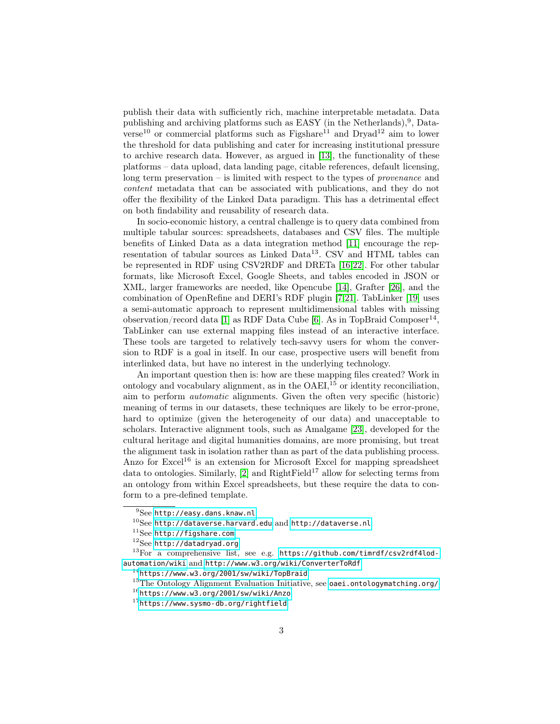publish their data with sufficiently rich, machine interpretable metadata. Data publishing and archiving platforms such as EASY (in the Netherlands),<sup>9</sup>, Dataverse<sup>10</sup> or commercial platforms such as Figshare<sup>11</sup> and Dryad<sup>12</sup> aim to lower the threshold for data publishing and cater for increasing institutional pressure to archive research data. However, as argued in [\[13\]](#page-10-3), the functionality of these platforms – data upload, data landing page, citable references, default licensing, long term preservation – is limited with respect to the types of *provenance* and content metadata that can be associated with publications, and they do not offer the flexibility of the Linked Data paradigm. This has a detrimental effect on both findability and reusability of research data.

In socio-economic history, a central challenge is to query data combined from multiple tabular sources: spreadsheets, databases and CSV files. The multiple benefits of Linked Data as a data integration method [\[11\]](#page-10-4) encourage the representation of tabular sources as Linked Data<sup>13</sup>. CSV and HTML tables can be represented in RDF using CSV2RDF and DRETa [\[16,](#page-11-4)[22\]](#page-11-5). For other tabular formats, like Microsoft Excel, Google Sheets, and tables encoded in JSON or XML, larger frameworks are needed, like Opencube [\[14\]](#page-11-6), Grafter [\[26\]](#page-11-7), and the combination of OpenRefine and DERI's RDF plugin [\[7](#page-10-5)[,21\]](#page-11-8). TabLinker [\[19\]](#page-11-9) uses a semi-automatic approach to represent multidimensional tables with missing observation/record data [\[1\]](#page-10-6) as RDF Data Cube [\[6\]](#page-10-7). As in TopBraid Composer<sup>14</sup>, TabLinker can use external mapping files instead of an interactive interface. These tools are targeted to relatively tech-savvy users for whom the conversion to RDF is a goal in itself. In our case, prospective users will benefit from interlinked data, but have no interest in the underlying technology.

An important question then is: how are these mapping files created? Work in ontology and vocabulary alignment, as in the  $OAEI<sup>15</sup>$  or identity reconciliation, aim to perform automatic alignments. Given the often very specific (historic) meaning of terms in our datasets, these techniques are likely to be error-prone, hard to optimize (given the heterogeneity of our data) and unacceptable to scholars. Interactive alignment tools, such as Amalgame [\[23\]](#page-11-10), developed for the cultural heritage and digital humanities domains, are more promising, but treat the alignment task in isolation rather than as part of the data publishing process. Anzo for  $\text{Excel}^{16}$  is an extension for Microsoft Excel for mapping spreadsheet data to ontologies. Similarly,  $[2]$  and RightField<sup>17</sup> allow for selecting terms from an ontology from within Excel spreadsheets, but these require the data to conform to a pre-defined template.

<sup>9</sup>See <http://easy.dans.knaw.nl>

<sup>10</sup>See <http://dataverse.harvard.edu> and <http://dataverse.nl>

<sup>11</sup>See <http://figshare.com>

<sup>12</sup>See <http://datadryad.org>

 $^{13}$ For a comprehensive list, see e.g. [https://github.com/timrdf/csv2rdf4lod](https://github.com/timrdf/csv2rdf4lod-automation/wiki)[automation/wiki](https://github.com/timrdf/csv2rdf4lod-automation/wiki) and <http://www.w3.org/wiki/ConverterToRdf>

<sup>14</sup><https://www.w3.org/2001/sw/wiki/TopBraid>

<sup>&</sup>lt;sup>15</sup>The Ontology Alignment Evaluation Initiative, see <oaei.ontologymatching.org/>

 $^{16}$ <https://www.w3.org/2001/sw/wiki/Anzo>

<sup>17</sup><https://www.sysmo-db.org/rightfield>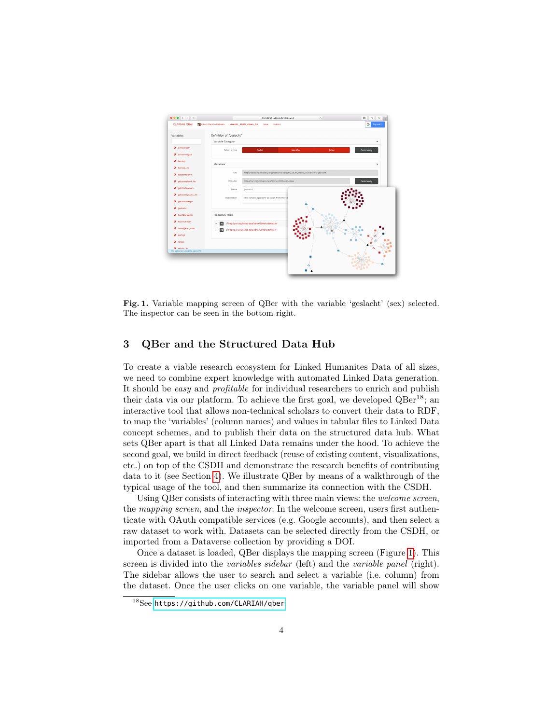

<span id="page-3-0"></span>Fig. 1. Variable mapping screen of QBer with the variable 'geslacht' (sex) selected. The inspector can be seen in the bottom right.

## <span id="page-3-1"></span>3 QBer and the Structured Data Hub

To create a viable research ecosystem for Linked Humanites Data of all sizes, we need to combine expert knowledge with automated Linked Data generation. It should be easy and profitable for individual researchers to enrich and publish their data via our platform. To achieve the first goal, we developed  $QBer^{18}$ ; an interactive tool that allows non-technical scholars to convert their data to RDF, to map the 'variables' (column names) and values in tabular files to Linked Data concept schemes, and to publish their data on the structured data hub. What sets QBer apart is that all Linked Data remains under the hood. To achieve the second goal, we build in direct feedback (reuse of existing content, visualizations, etc.) on top of the CSDH and demonstrate the research benefits of contributing data to it (see Section [4\)](#page-5-0). We illustrate QBer by means of a walkthrough of the typical usage of the tool, and then summarize its connection with the CSDH.

Using QBer consists of interacting with three main views: the welcome screen, the *mapping screen*, and the *inspector*. In the welcome screen, users first authenticate with OAuth compatible services (e.g. Google accounts), and then select a raw dataset to work with. Datasets can be selected directly from the CSDH, or imported from a Dataverse collection by providing a DOI.

Once a dataset is loaded, QBer displays the mapping screen (Figure [1\)](#page-3-0). This screen is divided into the *variables sidebar* (left) and the *variable panel* (right). The sidebar allows the user to search and select a variable (i.e. column) from the dataset. Once the user clicks on one variable, the variable panel will show

<sup>18</sup>See <https://github.com/CLARIAH/qber>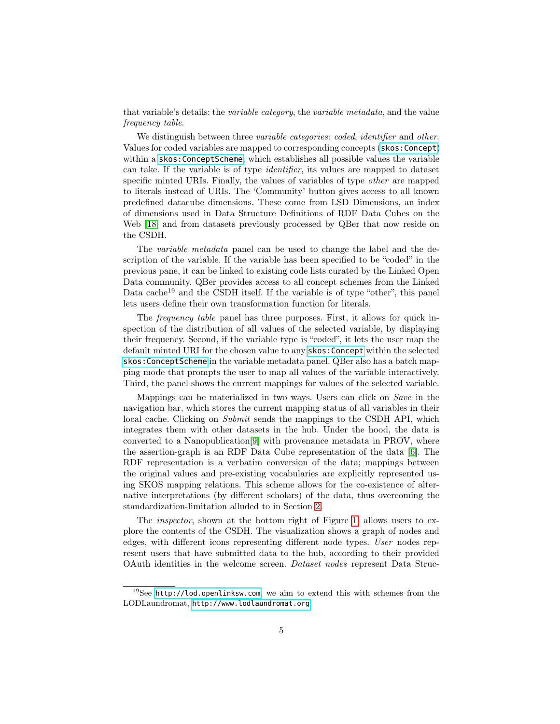that variable's details: the variable category, the variable metadata, and the value frequency table.

We distinguish between three *variable categories: coded, identifier* and *other.* Values for coded variables are mapped to corresponding concepts (<skos:Concept>) within a <skos:ConceptScheme>, which establishes all possible values the variable can take. If the variable is of type identifier, its values are mapped to dataset specific minted URIs. Finally, the values of variables of type other are mapped to literals instead of URIs. The 'Community' button gives access to all known predefined datacube dimensions. These come from LSD Dimensions, an index of dimensions used in Data Structure Definitions of RDF Data Cubes on the Web [\[18\]](#page-11-11) and from datasets previously processed by QBer that now reside on the CSDH.

The variable metadata panel can be used to change the label and the description of the variable. If the variable has been specified to be "coded" in the previous pane, it can be linked to existing code lists curated by the Linked Open Data community. QBer provides access to all concept schemes from the Linked Data cache<sup>19</sup> and the CSDH itself. If the variable is of type "other", this panel lets users define their own transformation function for literals.

The frequency table panel has three purposes. First, it allows for quick inspection of the distribution of all values of the selected variable, by displaying their frequency. Second, if the variable type is "coded", it lets the user map the default minted URI for the chosen value to any <skos:Concept> within the selected <skos:ConceptScheme> in the variable metadata panel. QBer also has a batch mapping mode that prompts the user to map all values of the variable interactively. Third, the panel shows the current mappings for values of the selected variable.

Mappings can be materialized in two ways. Users can click on Save in the navigation bar, which stores the current mapping status of all variables in their local cache. Clicking on Submit sends the mappings to the CSDH API, which integrates them with other datasets in the hub. Under the hood, the data is converted to a Nanopublication[\[9\]](#page-10-9) with provenance metadata in PROV, where the assertion-graph is an RDF Data Cube representation of the data [\[6\]](#page-10-7). The RDF representation is a verbatim conversion of the data; mappings between the original values and pre-existing vocabularies are explicitly represented using SKOS mapping relations. This scheme allows for the co-existence of alternative interpretations (by different scholars) of the data, thus overcoming the standardization-limitation alluded to in Section [2.](#page-1-0)

The inspector, shown at the bottom right of Figure [1,](#page-3-0) allows users to explore the contents of the CSDH. The visualization shows a graph of nodes and edges, with different icons representing different node types. User nodes represent users that have submitted data to the hub, according to their provided OAuth identities in the welcome screen. Dataset nodes represent Data Struc-

<sup>19</sup>See <http://lod.openlinksw.com>, we aim to extend this with schemes from the LODLaundromat, <http://www.lodlaundromat.org>.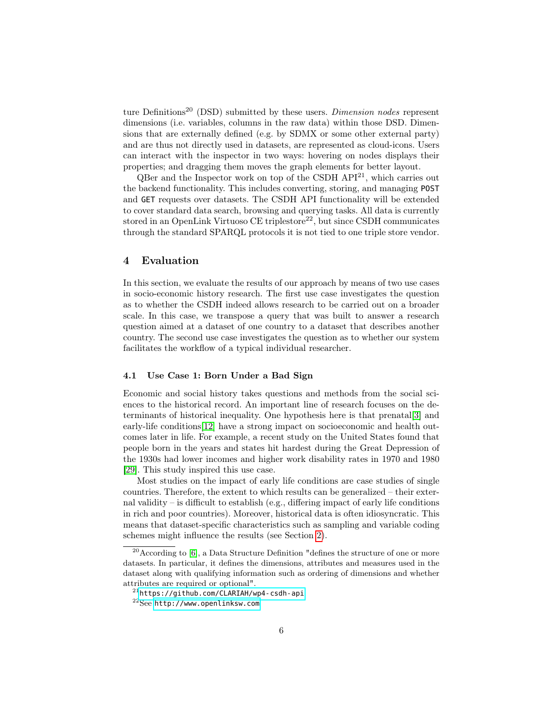ture Definitions<sup>20</sup> (DSD) submitted by these users. *Dimension nodes* represent dimensions (i.e. variables, columns in the raw data) within those DSD. Dimensions that are externally defined (e.g. by SDMX or some other external party) and are thus not directly used in datasets, are represented as cloud-icons. Users can interact with the inspector in two ways: hovering on nodes displays their properties; and dragging them moves the graph elements for better layout.

QBer and the Inspector work on top of the CSDH  $API<sup>21</sup>$ , which carries out the backend functionality. This includes converting, storing, and managing POST and GET requests over datasets. The CSDH API functionality will be extended to cover standard data search, browsing and querying tasks. All data is currently stored in an OpenLink Virtuoso CE triplestore<sup>22</sup>, but since CSDH communicates through the standard SPARQL protocols it is not tied to one triple store vendor.

#### <span id="page-5-0"></span>4 Evaluation

In this section, we evaluate the results of our approach by means of two use cases in socio-economic history research. The first use case investigates the question as to whether the CSDH indeed allows research to be carried out on a broader scale. In this case, we transpose a query that was built to answer a research question aimed at a dataset of one country to a dataset that describes another country. The second use case investigates the question as to whether our system facilitates the workflow of a typical individual researcher.

#### 4.1 Use Case 1: Born Under a Bad Sign

Economic and social history takes questions and methods from the social sciences to the historical record. An important line of research focuses on the determinants of historical inequality. One hypothesis here is that prenatal[\[3\]](#page-10-10) and early-life conditions[\[12\]](#page-10-11) have a strong impact on socioeconomic and health outcomes later in life. For example, a recent study on the United States found that people born in the years and states hit hardest during the Great Depression of the 1930s had lower incomes and higher work disability rates in 1970 and 1980 [\[29\]](#page-11-12). This study inspired this use case.

Most studies on the impact of early life conditions are case studies of single countries. Therefore, the extent to which results can be generalized – their external validity – is difficult to establish (e.g., differing impact of early life conditions in rich and poor countries). Moreover, historical data is often idiosyncratic. This means that dataset-specific characteristics such as sampling and variable coding schemes might influence the results (see Section [2\)](#page-1-0).

 $20$ According to [\[6\]](#page-10-7), a Data Structure Definition "defines the structure of one or more datasets. In particular, it defines the dimensions, attributes and measures used in the dataset along with qualifying information such as ordering of dimensions and whether attributes are required or optional".

 $^{21}$ <https://github.com/CLARIAH/wp4-csdh-api>

<sup>22</sup>See <http://www.openlinksw.com>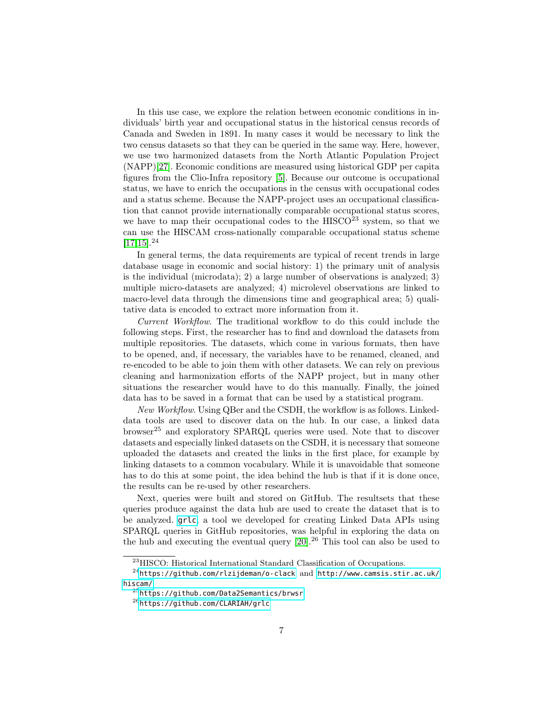In this use case, we explore the relation between economic conditions in individuals' birth year and occupational status in the historical census records of Canada and Sweden in 1891. In many cases it would be necessary to link the two census datasets so that they can be queried in the same way. Here, however, we use two harmonized datasets from the North Atlantic Population Project (NAPP)[\[27\]](#page-11-1). Economic conditions are measured using historical GDP per capita figures from the Clio-Infra repository [\[5\]](#page-10-2). Because our outcome is occupational status, we have to enrich the occupations in the census with occupational codes and a status scheme. Because the NAPP-project uses an occupational classification that cannot provide internationally comparable occupational status scores, we have to map their occupational codes to the  $HISCO<sup>23</sup>$  system, so that we can use the HISCAM cross-nationally comparable occupational status scheme  $[17,15]$  $[17,15]$ .<sup>24</sup>

In general terms, the data requirements are typical of recent trends in large database usage in economic and social history: 1) the primary unit of analysis is the individual (microdata); 2) a large number of observations is analyzed; 3) multiple micro-datasets are analyzed; 4) microlevel observations are linked to macro-level data through the dimensions time and geographical area; 5) qualitative data is encoded to extract more information from it.

Current Workflow. The traditional workflow to do this could include the following steps. First, the researcher has to find and download the datasets from multiple repositories. The datasets, which come in various formats, then have to be opened, and, if necessary, the variables have to be renamed, cleaned, and re-encoded to be able to join them with other datasets. We can rely on previous cleaning and harmonization efforts of the NAPP project, but in many other situations the researcher would have to do this manually. Finally, the joined data has to be saved in a format that can be used by a statistical program.

New Workflow. Using QBer and the CSDH, the workflow is as follows. Linkeddata tools are used to discover data on the hub. In our case, a linked data browser<sup>25</sup> and exploratory SPARQL queries were used. Note that to discover datasets and especially linked datasets on the CSDH, it is necessary that someone uploaded the datasets and created the links in the first place, for example by linking datasets to a common vocabulary. While it is unavoidable that someone has to do this at some point, the idea behind the hub is that if it is done once, the results can be re-used by other researchers.

Next, queries were built and stored on GitHub. The resultsets that these queries produce against the data hub are used to create the dataset that is to be analyzed. <grlc>, a tool we developed for creating Linked Data APIs using SPARQL queries in GitHub repositories, was helpful in exploring the data on the hub and executing the eventual query  $[20]$ .<sup>26</sup> This tool can also be used to

<sup>23</sup>HISCO: Historical International Standard Classification of Occupations.

 $^{24}$ <https://github.com/rlzijdeman/o-clack> and [http://www.camsis.stir.ac.uk/](http://www.camsis.stir.ac.uk/hiscam/) [hiscam/](http://www.camsis.stir.ac.uk/hiscam/)

<sup>25</sup><https://github.com/Data2Semantics/brwsr>

<sup>26</sup><https://github.com/CLARIAH/grlc>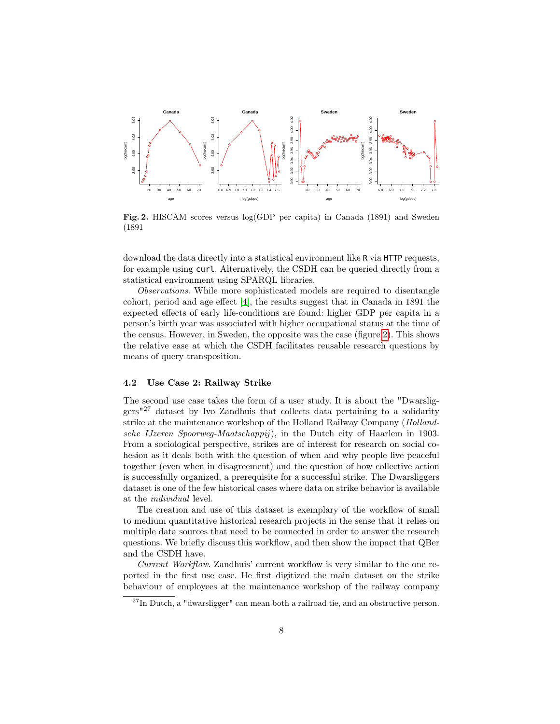

<span id="page-7-0"></span>Fig. 2. HISCAM scores versus log(GDP per capita) in Canada (1891) and Sweden (1891

download the data directly into a statistical environment like R via HTTP requests, for example using curl. Alternatively, the CSDH can be queried directly from a statistical environment using SPARQL libraries.

Observations. While more sophisticated models are required to disentangle cohort, period and age effect [\[4\]](#page-10-12), the results suggest that in Canada in 1891 the expected effects of early life-conditions are found: higher GDP per capita in a person's birth year was associated with higher occupational status at the time of the census. However, in Sweden, the opposite was the case (figure [2\)](#page-7-0). This shows the relative ease at which the CSDH facilitates reusable research questions by means of query transposition.

#### 4.2 Use Case 2: Railway Strike

The second use case takes the form of a user study. It is about the "Dwarsliggers"<sup>27</sup> dataset by Ivo Zandhuis that collects data pertaining to a solidarity strike at the maintenance workshop of the Holland Railway Company (Hollandsche IJzeren Spoorweg-Maatschappij), in the Dutch city of Haarlem in 1903. From a sociological perspective, strikes are of interest for research on social cohesion as it deals both with the question of when and why people live peaceful together (even when in disagreement) and the question of how collective action is successfully organized, a prerequisite for a successful strike. The Dwarsliggers dataset is one of the few historical cases where data on strike behavior is available at the individual level.

The creation and use of this dataset is exemplary of the workflow of small to medium quantitative historical research projects in the sense that it relies on multiple data sources that need to be connected in order to answer the research questions. We briefly discuss this workflow, and then show the impact that QBer and the CSDH have.

Current Workflow. Zandhuis' current workflow is very similar to the one reported in the first use case. He first digitized the main dataset on the strike behaviour of employees at the maintenance workshop of the railway company

 $27$ In Dutch, a "dwarsligger" can mean both a railroad tie, and an obstructive person.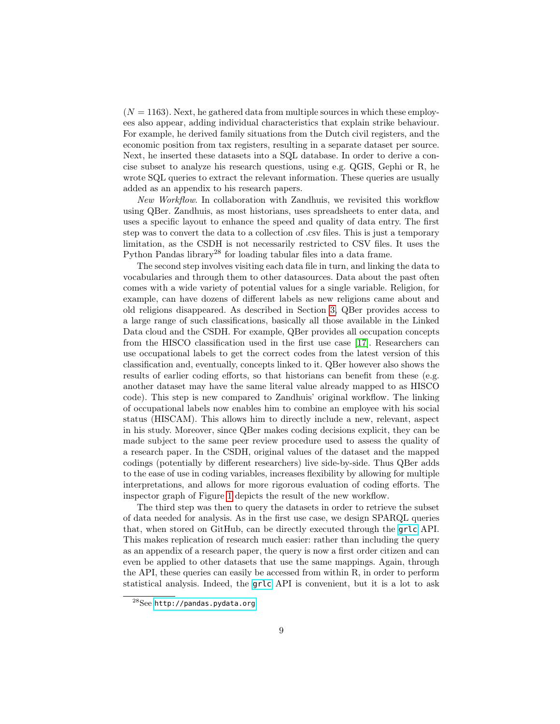$(N = 1163)$ . Next, he gathered data from multiple sources in which these employees also appear, adding individual characteristics that explain strike behaviour. For example, he derived family situations from the Dutch civil registers, and the economic position from tax registers, resulting in a separate dataset per source. Next, he inserted these datasets into a SQL database. In order to derive a concise subset to analyze his research questions, using e.g. QGIS, Gephi or R, he wrote SQL queries to extract the relevant information. These queries are usually added as an appendix to his research papers.

New Workflow. In collaboration with Zandhuis, we revisited this workflow using QBer. Zandhuis, as most historians, uses spreadsheets to enter data, and uses a specific layout to enhance the speed and quality of data entry. The first step was to convert the data to a collection of .csv files. This is just a temporary limitation, as the CSDH is not necessarily restricted to CSV files. It uses the Python Pandas library<sup>28</sup> for loading tabular files into a data frame.

The second step involves visiting each data file in turn, and linking the data to vocabularies and through them to other datasources. Data about the past often comes with a wide variety of potential values for a single variable. Religion, for example, can have dozens of different labels as new religions came about and old religions disappeared. As described in Section [3,](#page-3-1) QBer provides access to a large range of such classifications, basically all those available in the Linked Data cloud and the CSDH. For example, QBer provides all occupation concepts from the HISCO classification used in the first use case [\[17\]](#page-11-13). Researchers can use occupational labels to get the correct codes from the latest version of this classification and, eventually, concepts linked to it. QBer however also shows the results of earlier coding efforts, so that historians can benefit from these (e.g. another dataset may have the same literal value already mapped to as HISCO code). This step is new compared to Zandhuis' original workflow. The linking of occupational labels now enables him to combine an employee with his social status (HISCAM). This allows him to directly include a new, relevant, aspect in his study. Moreover, since QBer makes coding decisions explicit, they can be made subject to the same peer review procedure used to assess the quality of a research paper. In the CSDH, original values of the dataset and the mapped codings (potentially by different researchers) live side-by-side. Thus QBer adds to the ease of use in coding variables, increases flexibility by allowing for multiple interpretations, and allows for more rigorous evaluation of coding efforts. The inspector graph of Figure [1](#page-3-0) depicts the result of the new workflow.

The third step was then to query the datasets in order to retrieve the subset of data needed for analysis. As in the first use case, we design SPARQL queries that, when stored on GitHub, can be directly executed through the <grlc> API. This makes replication of research much easier: rather than including the query as an appendix of a research paper, the query is now a first order citizen and can even be applied to other datasets that use the same mappings. Again, through the API, these queries can easily be accessed from within R, in order to perform statistical analysis. Indeed, the <grlc> API is convenient, but it is a lot to ask

<sup>28</sup>See <http://pandas.pydata.org>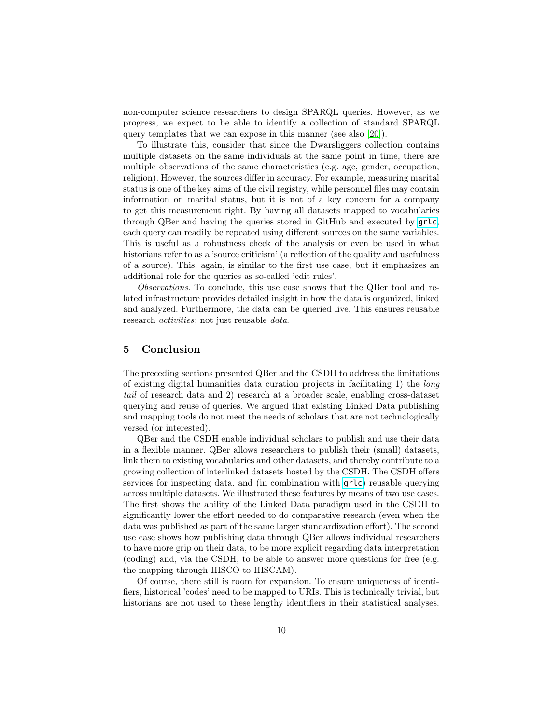non-computer science researchers to design SPARQL queries. However, as we progress, we expect to be able to identify a collection of standard SPARQL query templates that we can expose in this manner (see also [\[20\]](#page-11-15)).

To illustrate this, consider that since the Dwarsliggers collection contains multiple datasets on the same individuals at the same point in time, there are multiple observations of the same characteristics (e.g. age, gender, occupation, religion). However, the sources differ in accuracy. For example, measuring marital status is one of the key aims of the civil registry, while personnel files may contain information on marital status, but it is not of a key concern for a company to get this measurement right. By having all datasets mapped to vocabularies through QBer and having the queries stored in GitHub and executed by <grlc>, each query can readily be repeated using different sources on the same variables. This is useful as a robustness check of the analysis or even be used in what historians refer to as a 'source criticism' (a reflection of the quality and usefulness of a source). This, again, is similar to the first use case, but it emphasizes an additional role for the queries as so-called 'edit rules'.

Observations. To conclude, this use case shows that the QBer tool and related infrastructure provides detailed insight in how the data is organized, linked and analyzed. Furthermore, the data can be queried live. This ensures reusable research *activities*; not just reusable *data*.

### 5 Conclusion

The preceding sections presented QBer and the CSDH to address the limitations of existing digital humanities data curation projects in facilitating 1) the long tail of research data and 2) research at a broader scale, enabling cross-dataset querying and reuse of queries. We argued that existing Linked Data publishing and mapping tools do not meet the needs of scholars that are not technologically versed (or interested).

QBer and the CSDH enable individual scholars to publish and use their data in a flexible manner. QBer allows researchers to publish their (small) datasets, link them to existing vocabularies and other datasets, and thereby contribute to a growing collection of interlinked datasets hosted by the CSDH. The CSDH offers services for inspecting data, and (in combination with <grlc>) reusable querying across multiple datasets. We illustrated these features by means of two use cases. The first shows the ability of the Linked Data paradigm used in the CSDH to significantly lower the effort needed to do comparative research (even when the data was published as part of the same larger standardization effort). The second use case shows how publishing data through QBer allows individual researchers to have more grip on their data, to be more explicit regarding data interpretation (coding) and, via the CSDH, to be able to answer more questions for free (e.g. the mapping through HISCO to HISCAM).

Of course, there still is room for expansion. To ensure uniqueness of identifiers, historical 'codes' need to be mapped to URIs. This is technically trivial, but historians are not used to these lengthy identifiers in their statistical analyses.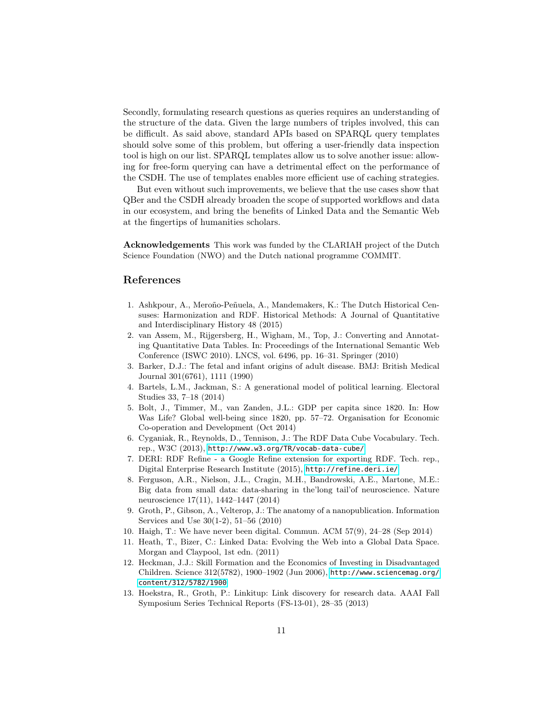Secondly, formulating research questions as queries requires an understanding of the structure of the data. Given the large numbers of triples involved, this can be difficult. As said above, standard APIs based on SPARQL query templates should solve some of this problem, but offering a user-friendly data inspection tool is high on our list. SPARQL templates allow us to solve another issue: allowing for free-form querying can have a detrimental effect on the performance of the CSDH. The use of templates enables more efficient use of caching strategies.

But even without such improvements, we believe that the use cases show that QBer and the CSDH already broaden the scope of supported workflows and data in our ecosystem, and bring the benefits of Linked Data and the Semantic Web at the fingertips of humanities scholars.

Acknowledgements This work was funded by the CLARIAH project of the Dutch Science Foundation (NWO) and the Dutch national programme COMMIT.

#### References

- <span id="page-10-6"></span>1. Ashkpour, A., Meroño-Peñuela, A., Mandemakers, K.: The Dutch Historical Censuses: Harmonization and RDF. Historical Methods: A Journal of Quantitative and Interdisciplinary History 48 (2015)
- <span id="page-10-8"></span>2. van Assem, M., Rijgersberg, H., Wigham, M., Top, J.: Converting and Annotating Quantitative Data Tables. In: Proceedings of the International Semantic Web Conference (ISWC 2010). LNCS, vol. 6496, pp. 16–31. Springer (2010)
- <span id="page-10-10"></span>3. Barker, D.J.: The fetal and infant origins of adult disease. BMJ: British Medical Journal 301(6761), 1111 (1990)
- <span id="page-10-12"></span>4. Bartels, L.M., Jackman, S.: A generational model of political learning. Electoral Studies 33, 7–18 (2014)
- <span id="page-10-2"></span>5. Bolt, J., Timmer, M., van Zanden, J.L.: GDP per capita since 1820. In: How Was Life? Global well-being since 1820, pp. 57–72. Organisation for Economic Co-operation and Development (Oct 2014)
- <span id="page-10-7"></span>6. Cyganiak, R., Reynolds, D., Tennison, J.: The RDF Data Cube Vocabulary. Tech. rep., W3C (2013), <http://www.w3.org/TR/vocab-data-cube/>
- <span id="page-10-5"></span>7. DERI: RDF Refine - a Google Refine extension for exporting RDF. Tech. rep., Digital Enterprise Research Institute (2015), <http://refine.deri.ie/>
- <span id="page-10-1"></span>8. Ferguson, A.R., Nielson, J.L., Cragin, M.H., Bandrowski, A.E., Martone, M.E.: Big data from small data: data-sharing in the'long tail'of neuroscience. Nature neuroscience 17(11), 1442–1447 (2014)
- <span id="page-10-9"></span>9. Groth, P., Gibson, A., Velterop, J.: The anatomy of a nanopublication. Information Services and Use 30(1-2), 51–56 (2010)
- <span id="page-10-0"></span>10. Haigh, T.: We have never been digital. Commun. ACM 57(9), 24–28 (Sep 2014)
- <span id="page-10-4"></span>11. Heath, T., Bizer, C.: Linked Data: Evolving the Web into a Global Data Space. Morgan and Claypool, 1st edn. (2011)
- <span id="page-10-11"></span>12. Heckman, J.J.: Skill Formation and the Economics of Investing in Disadvantaged Children. Science 312(5782), 1900–1902 (Jun 2006), [http://www.sciencemag.org/](http://www.sciencemag.org/content/312/5782/1900) [content/312/5782/1900](http://www.sciencemag.org/content/312/5782/1900)
- <span id="page-10-3"></span>13. Hoekstra, R., Groth, P.: Linkitup: Link discovery for research data. AAAI Fall Symposium Series Technical Reports (FS-13-01), 28–35 (2013)